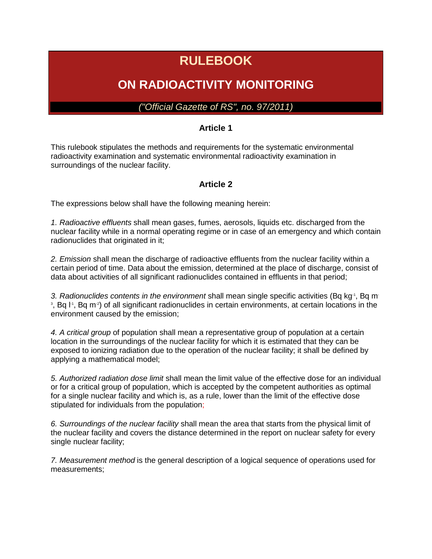# **RULEBOOK**

## **ON RADIOACTIVITY MONITORING**

*("Official Gazette of RS", no. 97/2011)*

#### **Article 1**

This rulebook stipulates the methods and requirements for the systematic environmental radioactivity examination and systematic environmental radioactivity examination in surroundings of the nuclear facility.

#### **Article 2**

The expressions below shall have the following meaning herein:

*1. Radioactive effluents* shall mean gases, fumes, aerosols, liquids etc. discharged from the nuclear facility while in a normal operating regime or in case of an emergency and which contain radionuclides that originated in it;

*2. Emission* shall mean the discharge of radioactive effluents from the nuclear facility within a certain period of time. Data about the emission, determined at the place of discharge, consist of data about activities of all significant radionuclides contained in effluents in that period;

3. Radionuclides contents in the environment shall mean single specific activities (Bq kg<sup>-1</sup>, Bq m<sup>-</sup> <sup>3</sup>, Bq l<sup>-1</sup>, Bq m<sup>-2</sup>) of all significant radionuclides in certain environments, at certain locations in the environment caused by the emission;

*4. A critical group* of population shall mean a representative group of population at a certain location in the surroundings of the nuclear facility for which it is estimated that they can be exposed to ionizing radiation due to the operation of the nuclear facility; it shall be defined by applying a mathematical model;

*5. Authorized radiation dose limit* shall mean the limit value of the effective dose for an individual or for a critical group of population, which is accepted by the competent authorities as optimal for a single nuclear facility and which is, as a rule, lower than the limit of the effective dose stipulated for individuals from the population;

*6. Surroundings of the nuclear facility* shall mean the area that starts from the physical limit of the nuclear facility and covers the distance determined in the report on nuclear safety for every single nuclear facility;

*7. Measurement method* is the general description of a logical sequence of operations used for measurements;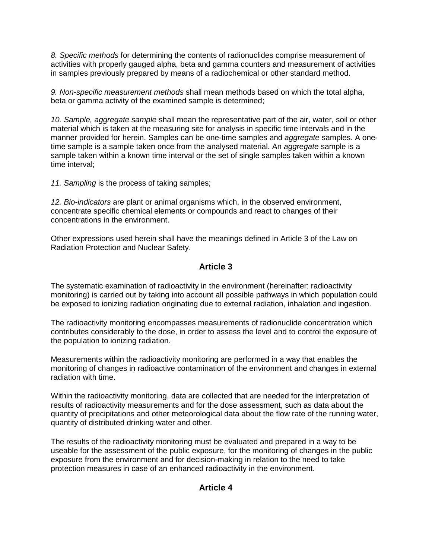*8. Specific methods* for determining the contents of radionuclides comprise measurement of activities with properly gauged alpha, beta and gamma counters and measurement of activities in samples previously prepared by means of a radiochemical or other standard method.

*9. Non-specific measurement methods* shall mean methods based on which the total alpha, beta or gamma activity of the examined sample is determined;

*10. Sample, aggregate sample* shall mean the representative part of the air, water, soil or other material which is taken at the measuring site for analysis in specific time intervals and in the manner provided for herein. Samples can be one-time samples and *aggregate* samples. A onetime sample is a sample taken once from the analysed material. An *aggregate* sample is a sample taken within a known time interval or the set of single samples taken within a known time interval;

*11. Sampling* is the process of taking samples;

*12. Bio-indicators* are plant or animal organisms which, in the observed environment, concentrate specific chemical elements or compounds and react to changes of their concentrations in the environment.

Other expressions used herein shall have the meanings defined in Article 3 of the Law on Radiation Protection and Nuclear Safety.

#### **Article 3**

The systematic examination of radioactivity in the environment (hereinafter: radioactivity monitoring) is carried out by taking into account all possible pathways in which population could be exposed to ionizing radiation originating due to external radiation, inhalation and ingestion.

The radioactivity monitoring encompasses measurements of radionuclide concentration which contributes considerably to the dose, in order to assess the level and to control the exposure of the population to ionizing radiation.

Measurements within the radioactivity monitoring are performed in a way that enables the monitoring of changes in radioactive contamination of the environment and changes in external radiation with time.

Within the radioactivity monitoring, data are collected that are needed for the interpretation of results of radioactivity measurements and for the dose assessment, such as data about the quantity of precipitations and other meteorological data about the flow rate of the running water, quantity of distributed drinking water and other.

The results of the radioactivity monitoring must be evaluated and prepared in a way to be useable for the assessment of the public exposure, for the monitoring of changes in the public exposure from the environment and for decision-making in relation to the need to take protection measures in case of an enhanced radioactivity in the environment.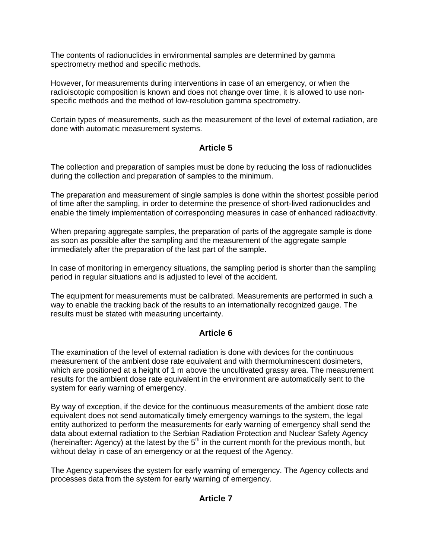The contents of radionuclides in environmental samples are determined by gamma spectrometry method and specific methods.

However, for measurements during interventions in case of an emergency, or when the radioisotopic composition is known and does not change over time, it is allowed to use nonspecific methods and the method of low-resolution gamma spectrometry.

Certain types of measurements, such as the measurement of the level of external radiation, are done with automatic measurement systems.

#### **Article 5**

The collection and preparation of samples must be done by reducing the loss of radionuclides during the collection and preparation of samples to the minimum.

The preparation and measurement of single samples is done within the shortest possible period of time after the sampling, in order to determine the presence of short-lived radionuclides and enable the timely implementation of corresponding measures in case of enhanced radioactivity.

When preparing aggregate samples, the preparation of parts of the aggregate sample is done as soon as possible after the sampling and the measurement of the aggregate sample immediately after the preparation of the last part of the sample.

In case of monitoring in emergency situations, the sampling period is shorter than the sampling period in regular situations and is adjusted to level of the accident.

The equipment for measurements must be calibrated. Measurements are performed in such a way to enable the tracking back of the results to an internationally recognized gauge. The results must be stated with measuring uncertainty.

#### **Article 6**

The examination of the level of external radiation is done with devices for the continuous measurement of the ambient dose rate equivalent and with thermoluminescent dosimeters, which are positioned at a height of 1 m above the uncultivated grassy area. The measurement results for the ambient dose rate equivalent in the environment are automatically sent to the system for early warning of emergency.

By way of exception, if the device for the continuous measurements of the ambient dose rate equivalent does not send automatically timely emergency warnings to the system, the legal entity authorized to perform the measurements for early warning of emergency shall send the data about external radiation to the Serbian Radiation Protection and Nuclear Safety Agency (hereinafter: Agency) at the latest by the  $5<sup>th</sup>$  in the current month for the previous month, but without delay in case of an emergency or at the request of the Agency.

The Agency supervises the system for early warning of emergency. The Agency collects and processes data from the system for early warning of emergency.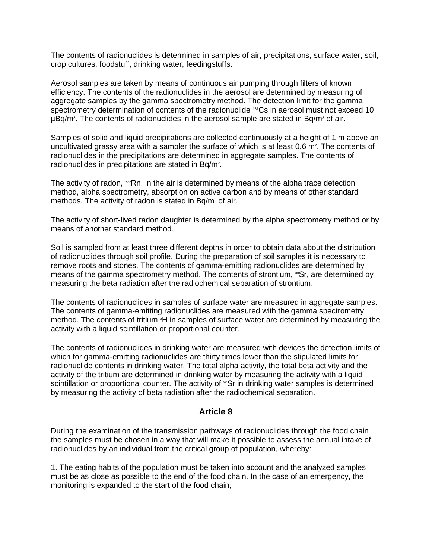The contents of radionuclides is determined in samples of air, precipitations, surface water, soil, crop cultures, foodstuff, drinking water, feedingstuffs.

Aerosol samples are taken by means of continuous air pumping through filters of known efficiency. The contents of the radionuclides in the aerosol are determined by measuring of aggregate samples by the gamma spectrometry method. The detection limit for the gamma spectrometry determination of contents of the radionuclide <sup>137</sup>Cs in aerosol must not exceed 10  $\mu$ Bq/m<sup>3</sup>. The contents of radionuclides in the aerosol sample are stated in Bq/m<sup>3</sup> of air.

Samples of solid and liquid precipitations are collected continuously at a height of 1 m above an uncultivated grassy area with a sampler the surface of which is at least  $0.6$  m<sup>2</sup>. The contents of radionuclides in the precipitations are determined in aggregate samples. The contents of radionuclides in precipitations are stated in Bq/m<sup>2</sup>.

The activity of radon, <sup>222</sup>Rn, in the air is determined by means of the alpha trace detection method, alpha spectrometry, absorption on active carbon and by means of other standard methods. The activity of radon is stated in  $Bq/m<sup>3</sup>$  of air.

The activity of short-lived radon daughter is determined by the alpha spectrometry method or by means of another standard method.

Soil is sampled from at least three different depths in order to obtain data about the distribution of radionuclides through soil profile. During the preparation of soil samples it is necessary to remove roots and stones. The contents of gamma-emitting radionuclides are determined by means of the gamma spectrometry method. The contents of strontium, <sup>90</sup>Sr, are determined by measuring the beta radiation after the radiochemical separation of strontium.

The contents of radionuclides in samples of surface water are measured in aggregate samples. The contents of gamma-emitting radionuclides are measured with the gamma spectrometry method. The contents of tritium <sup>3</sup>H in samples of surface water are determined by measuring the activity with a liquid scintillation or proportional counter.

The contents of radionuclides in drinking water are measured with devices the detection limits of which for gamma-emitting radionuclides are thirty times lower than the stipulated limits for radionuclide contents in drinking water. The total alpha activity, the total beta activity and the activity of the tritium are determined in drinking water by measuring the activity with a liquid scintillation or proportional counter. The activity of <sup>90</sup>Sr in drinking water samples is determined by measuring the activity of beta radiation after the radiochemical separation.

#### **Article 8**

During the examination of the transmission pathways of radionuclides through the food chain the samples must be chosen in a way that will make it possible to assess the annual intake of radionuclides by an individual from the critical group of population, whereby:

1. The eating habits of the population must be taken into account and the analyzed samples must be as close as possible to the end of the food chain. In the case of an emergency, the monitoring is expanded to the start of the food chain;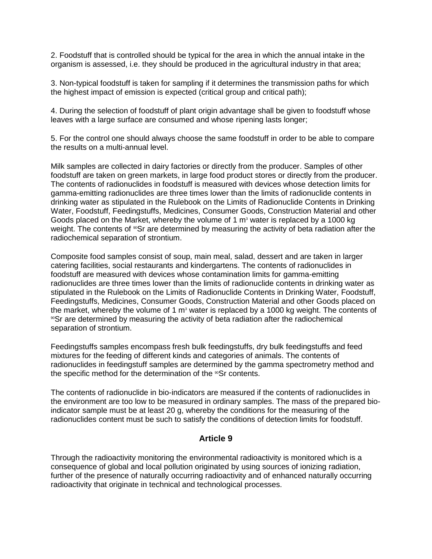2. Foodstuff that is controlled should be typical for the area in which the annual intake in the organism is assessed, i.e. they should be produced in the agricultural industry in that area;

3. Non-typical foodstuff is taken for sampling if it determines the transmission paths for which the highest impact of emission is expected (critical group and critical path);

4. During the selection of foodstuff of plant origin advantage shall be given to foodstuff whose leaves with a large surface are consumed and whose ripening lasts longer;

5. For the control one should always choose the same foodstuff in order to be able to compare the results on a multi-annual level.

Milk samples are collected in dairy factories or directly from the producer. Samples of other foodstuff are taken on green markets, in large food product stores or directly from the producer. The contents of radionuclides in foodstuff is measured with devices whose detection limits for gamma-emitting radionuclides are three times lower than the limits of radionuclide contents in drinking water as stipulated in the Rulebook on the Limits of Radionuclide Contents in Drinking Water, Foodstuff, Feedingstuffs, Medicines, Consumer Goods, Construction Material and other Goods placed on the Market, whereby the volume of 1  $m<sup>3</sup>$  water is replaced by a 1000 kg weight. The contents of <sup>90</sup>Sr are determined by measuring the activity of beta radiation after the radiochemical separation of strontium.

Composite food samples consist of soup, main meal, salad, dessert and are taken in larger catering facilities, social restaurants and kindergartens. The contents of radionuclides in foodstuff are measured with devices whose contamination limits for gamma-emitting radionuclides are three times lower than the limits of radionuclide contents in drinking water as stipulated in the Rulebook on the Limits of Radionuclide Contents in Drinking Water, Foodstuff, Feedingstuffs, Medicines, Consumer Goods, Construction Material and other Goods placed on the market, whereby the volume of 1  $m<sup>3</sup>$  water is replaced by a 1000 kg weight. The contents of <sup>90</sup>Sr are determined by measuring the activity of beta radiation after the radiochemical separation of strontium.

Feedingstuffs samples encompass fresh bulk feedingstuffs, dry bulk feedingstuffs and feed mixtures for the feeding of different kinds and categories of animals. The contents of radionuclides in feedingstuff samples are determined by the gamma spectrometry method and the specific method for the determination of the <sup>90</sup>Sr contents.

The contents of radionuclide in bio-indicators are measured if the contents of radionuclides in the environment are too low to be measured in ordinary samples. The mass of the prepared bioindicator sample must be at least 20 g, whereby the conditions for the measuring of the radionuclides content must be such to satisfy the conditions of detection limits for foodstuff.

#### **Article 9**

Through the radioactivity monitoring the environmental radioactivity is monitored which is a consequence of global and local pollution originated by using sources of ionizing radiation, further of the presence of naturally occurring radioactivity and of enhanced naturally occurring radioactivity that originate in technical and technological processes.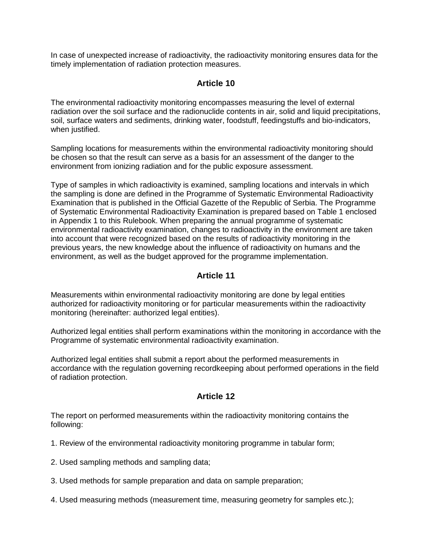In case of unexpected increase of radioactivity, the radioactivity monitoring ensures data for the timely implementation of radiation protection measures.

#### **Article 10**

The environmental radioactivity monitoring encompasses measuring the level of external radiation over the soil surface and the radionuclide contents in air, solid and liquid precipitations, soil, surface waters and sediments, drinking water, foodstuff, feedingstuffs and bio-indicators, when justified.

Sampling locations for measurements within the environmental radioactivity monitoring should be chosen so that the result can serve as a basis for an assessment of the danger to the environment from ionizing radiation and for the public exposure assessment.

Type of samples in which radioactivity is examined, sampling locations and intervals in which the sampling is done are defined in the Programme of Systematic Environmental Radioactivity Examination that is published in the Official Gazette of the Republic of Serbia. The Programme of Systematic Environmental Radioactivity Examination is prepared based on Table 1 enclosed in Appendix 1 to this Rulebook. When preparing the annual programme of systematic environmental radioactivity examination, changes to radioactivity in the environment are taken into account that were recognized based on the results of radioactivity monitoring in the previous years, the new knowledge about the influence of radioactivity on humans and the environment, as well as the budget approved for the programme implementation.

#### **Article 11**

Measurements within environmental radioactivity monitoring are done by legal entities authorized for radioactivity monitoring or for particular measurements within the radioactivity monitoring (hereinafter: authorized legal entities).

Authorized legal entities shall perform examinations within the monitoring in accordance with the Programme of systematic environmental radioactivity examination.

Authorized legal entities shall submit a report about the performed measurements in accordance with the regulation governing recordkeeping about performed operations in the field of radiation protection.

#### **Article 12**

The report on performed measurements within the radioactivity monitoring contains the following:

- 1. Review of the environmental radioactivity monitoring programme in tabular form;
- 2. Used sampling methods and sampling data;
- 3. Used methods for sample preparation and data on sample preparation;
- 4. Used measuring methods (measurement time, measuring geometry for samples etc.);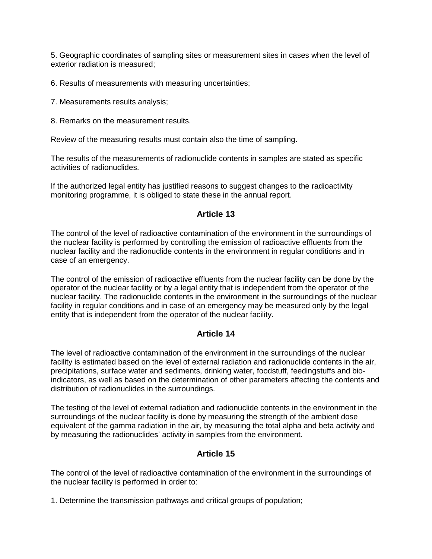5. Geographic coordinates of sampling sites or measurement sites in cases when the level of exterior radiation is measured;

6. Results of measurements with measuring uncertainties;

- 7. Measurements results analysis;
- 8. Remarks on the measurement results.

Review of the measuring results must contain also the time of sampling.

The results of the measurements of radionuclide contents in samples are stated as specific activities of radionuclides.

If the authorized legal entity has justified reasons to suggest changes to the radioactivity monitoring programme, it is obliged to state these in the annual report.

#### **Article 13**

The control of the level of radioactive contamination of the environment in the surroundings of the nuclear facility is performed by controlling the emission of radioactive effluents from the nuclear facility and the radionuclide contents in the environment in regular conditions and in case of an emergency.

The control of the emission of radioactive effluents from the nuclear facility can be done by the operator of the nuclear facility or by a legal entity that is independent from the operator of the nuclear facility. The radionuclide contents in the environment in the surroundings of the nuclear facility in regular conditions and in case of an emergency may be measured only by the legal entity that is independent from the operator of the nuclear facility.

#### **Article 14**

The level of radioactive contamination of the environment in the surroundings of the nuclear facility is estimated based on the level of external radiation and radionuclide contents in the air, precipitations, surface water and sediments, drinking water, foodstuff, feedingstuffs and bioindicators, as well as based on the determination of other parameters affecting the contents and distribution of radionuclides in the surroundings.

The testing of the level of external radiation and radionuclide contents in the environment in the surroundings of the nuclear facility is done by measuring the strength of the ambient dose equivalent of the gamma radiation in the air, by measuring the total alpha and beta activity and by measuring the radionuclides' activity in samples from the environment.

#### **Article 15**

The control of the level of radioactive contamination of the environment in the surroundings of the nuclear facility is performed in order to:

1. Determine the transmission pathways and critical groups of population;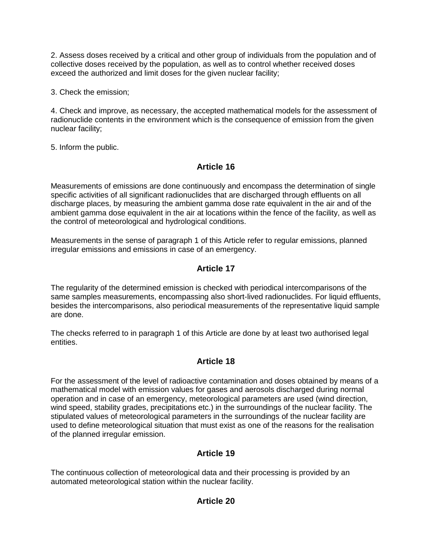2. Assess doses received by a critical and other group of individuals from the population and of collective doses received by the population, as well as to control whether received doses exceed the authorized and limit doses for the given nuclear facility;

3. Check the emission;

4. Check and improve, as necessary, the accepted mathematical models for the assessment of radionuclide contents in the environment which is the consequence of emission from the given nuclear facility;

5. Inform the public.

## **Article 16**

Measurements of emissions are done continuously and encompass the determination of single specific activities of all significant radionuclides that are discharged through effluents on all discharge places, by measuring the ambient gamma dose rate equivalent in the air and of the ambient gamma dose equivalent in the air at locations within the fence of the facility, as well as the control of meteorological and hydrological conditions.

Measurements in the sense of paragraph 1 of this Article refer to regular emissions, planned irregular emissions and emissions in case of an emergency.

## **Article 17**

The regularity of the determined emission is checked with periodical intercomparisons of the same samples measurements, encompassing also short-lived radionuclides. For liquid effluents, besides the intercomparisons, also periodical measurements of the representative liquid sample are done.

The checks referred to in paragraph 1 of this Article are done by at least two authorised legal entities.

## **Article 18**

For the assessment of the level of radioactive contamination and doses obtained by means of a mathematical model with emission values for gases and aerosols discharged during normal operation and in case of an emergency, meteorological parameters are used (wind direction, wind speed, stability grades, precipitations etc.) in the surroundings of the nuclear facility. The stipulated values of meteorological parameters in the surroundings of the nuclear facility are used to define meteorological situation that must exist as one of the reasons for the realisation of the planned irregular emission.

## **Article 19**

The continuous collection of meteorological data and their processing is provided by an automated meteorological station within the nuclear facility.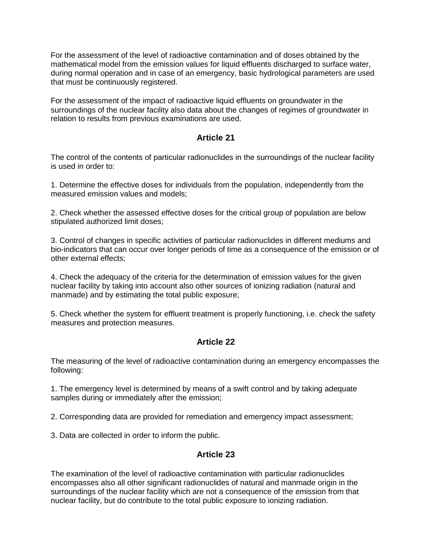For the assessment of the level of radioactive contamination and of doses obtained by the mathematical model from the emission values for liquid effluents discharged to surface water, during normal operation and in case of an emergency, basic hydrological parameters are used that must be continuously registered.

For the assessment of the impact of radioactive liquid effluents on groundwater in the surroundings of the nuclear facility also data about the changes of regimes of groundwater in relation to results from previous examinations are used.

#### **Article 21**

The control of the contents of particular radionuclides in the surroundings of the nuclear facility is used in order to:

1. Determine the effective doses for individuals from the population, independently from the measured emission values and models;

2. Check whether the assessed effective doses for the critical group of population are below stipulated authorized limit doses;

3. Control of changes in specific activities of particular radionuclides in different mediums and bio-indicators that can occur over longer periods of time as a consequence of the emission or of other external effects;

4. Check the adequacy of the criteria for the determination of emission values for the given nuclear facility by taking into account also other sources of ionizing radiation (natural and manmade) and by estimating the total public exposure;

5. Check whether the system for effluent treatment is properly functioning, i.e. check the safety measures and protection measures.

#### **Article 22**

The measuring of the level of radioactive contamination during an emergency encompasses the following:

1. The emergency level is determined by means of a swift control and by taking adequate samples during or immediately after the emission;

2. Corresponding data are provided for remediation and emergency impact assessment;

3. Data are collected in order to inform the public.

#### **Article 23**

The examination of the level of radioactive contamination with particular radionuclides encompasses also all other significant radionuclides of natural and manmade origin in the surroundings of the nuclear facility which are not a consequence of the emission from that nuclear facility, but do contribute to the total public exposure to ionizing radiation.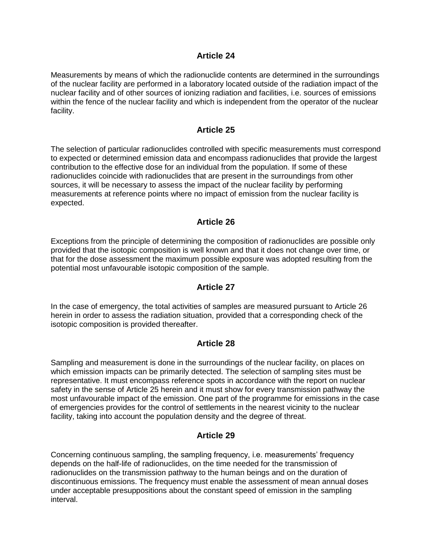#### **Article 24**

Measurements by means of which the radionuclide contents are determined in the surroundings of the nuclear facility are performed in a laboratory located outside of the radiation impact of the nuclear facility and of other sources of ionizing radiation and facilities, i.e. sources of emissions within the fence of the nuclear facility and which is independent from the operator of the nuclear facility.

#### **Article 25**

The selection of particular radionuclides controlled with specific measurements must correspond to expected or determined emission data and encompass radionuclides that provide the largest contribution to the effective dose for an individual from the population. If some of these radionuclides coincide with radionuclides that are present in the surroundings from other sources, it will be necessary to assess the impact of the nuclear facility by performing measurements at reference points where no impact of emission from the nuclear facility is expected.

#### **Article 26**

Exceptions from the principle of determining the composition of radionuclides are possible only provided that the isotopic composition is well known and that it does not change over time, or that for the dose assessment the maximum possible exposure was adopted resulting from the potential most unfavourable isotopic composition of the sample.

#### **Article 27**

In the case of emergency, the total activities of samples are measured pursuant to Article 26 herein in order to assess the radiation situation, provided that a corresponding check of the isotopic composition is provided thereafter.

#### **Article 28**

Sampling and measurement is done in the surroundings of the nuclear facility, on places on which emission impacts can be primarily detected. The selection of sampling sites must be representative. It must encompass reference spots in accordance with the report on nuclear safety in the sense of Article 25 herein and it must show for every transmission pathway the most unfavourable impact of the emission. One part of the programme for emissions in the case of emergencies provides for the control of settlements in the nearest vicinity to the nuclear facility, taking into account the population density and the degree of threat.

#### **Article 29**

Concerning continuous sampling, the sampling frequency, i.e. measurements' frequency depends on the half-life of radionuclides, on the time needed for the transmission of radionuclides on the transmission pathway to the human beings and on the duration of discontinuous emissions. The frequency must enable the assessment of mean annual doses under acceptable presuppositions about the constant speed of emission in the sampling interval.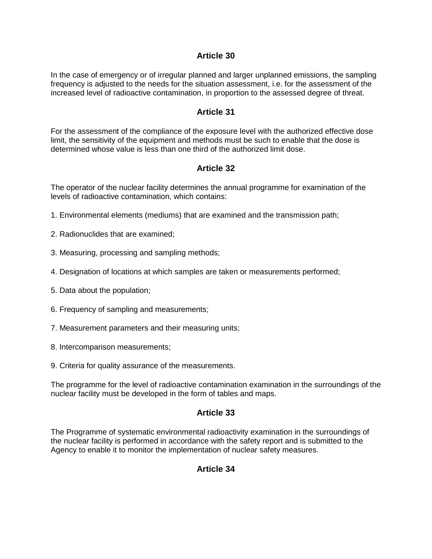#### **Article 30**

In the case of emergency or of irregular planned and larger unplanned emissions, the sampling frequency is adjusted to the needs for the situation assessment, i.e. for the assessment of the increased level of radioactive contamination, in proportion to the assessed degree of threat.

#### **Article 31**

For the assessment of the compliance of the exposure level with the authorized effective dose limit, the sensitivity of the equipment and methods must be such to enable that the dose is determined whose value is less than one third of the authorized limit dose.

## **Article 32**

The operator of the nuclear facility determines the annual programme for examination of the levels of radioactive contamination, which contains:

- 1. Environmental elements (mediums) that are examined and the transmission path;
- 2. Radionuclides that are examined;
- 3. Measuring, processing and sampling methods;
- 4. Designation of locations at which samples are taken or measurements performed;
- 5. Data about the population;
- 6. Frequency of sampling and measurements;
- 7. Measurement parameters and their measuring units;
- 8. Intercomparison measurements;
- 9. Criteria for quality assurance of the measurements.

The programme for the level of radioactive contamination examination in the surroundings of the nuclear facility must be developed in the form of tables and maps.

#### **Article 33**

The Programme of systematic environmental radioactivity examination in the surroundings of the nuclear facility is performed in accordance with the safety report and is submitted to the Agency to enable it to monitor the implementation of nuclear safety measures.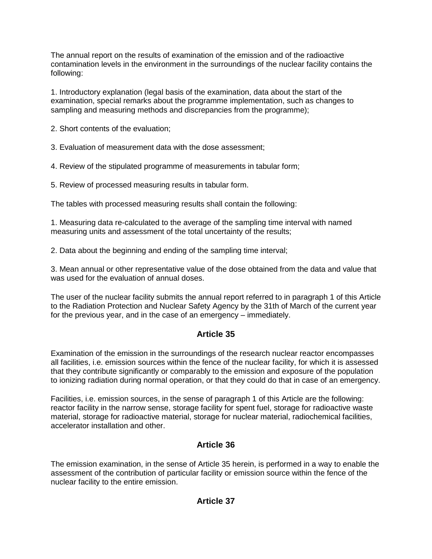The annual report on the results of examination of the emission and of the radioactive contamination levels in the environment in the surroundings of the nuclear facility contains the following:

1. Introductory explanation (legal basis of the examination, data about the start of the examination, special remarks about the programme implementation, such as changes to sampling and measuring methods and discrepancies from the programme);

2. Short contents of the evaluation;

3. Evaluation of measurement data with the dose assessment;

4. Review of the stipulated programme of measurements in tabular form;

5. Review of processed measuring results in tabular form.

The tables with processed measuring results shall contain the following:

1. Measuring data re-calculated to the average of the sampling time interval with named measuring units and assessment of the total uncertainty of the results;

2. Data about the beginning and ending of the sampling time interval;

3. Mean annual or other representative value of the dose obtained from the data and value that was used for the evaluation of annual doses.

The user of the nuclear facility submits the annual report referred to in paragraph 1 of this Article to the Radiation Protection and Nuclear Safety Agency by the 31th of March of the current year for the previous year, and in the case of an emergency – immediately.

#### **Article 35**

Examination of the emission in the surroundings of the research nuclear reactor encompasses all facilities, i.e. emission sources within the fence of the nuclear facility, for which it is assessed that they contribute significantly or comparably to the emission and exposure of the population to ionizing radiation during normal operation, or that they could do that in case of an emergency.

Facilities, i.e. emission sources, in the sense of paragraph 1 of this Article are the following: reactor facility in the narrow sense, storage facility for spent fuel, storage for radioactive waste material, storage for radioactive material, storage for nuclear material, radiochemical facilities, accelerator installation and other.

## **Article 36**

The emission examination, in the sense of Article 35 herein, is performed in a way to enable the assessment of the contribution of particular facility or emission source within the fence of the nuclear facility to the entire emission.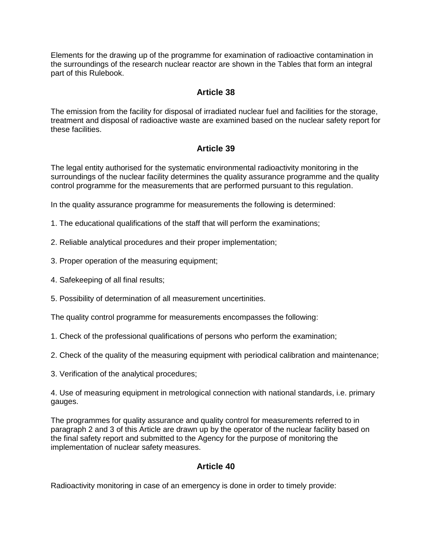Elements for the drawing up of the programme for examination of radioactive contamination in the surroundings of the research nuclear reactor are shown in the Tables that form an integral part of this Rulebook.

#### **Article 38**

The emission from the facility for disposal of irradiated nuclear fuel and facilities for the storage, treatment and disposal of radioactive waste are examined based on the nuclear safety report for these facilities.

#### **Article 39**

The legal entity authorised for the systematic environmental radioactivity monitoring in the surroundings of the nuclear facility determines the quality assurance programme and the quality control programme for the measurements that are performed pursuant to this regulation.

In the quality assurance programme for measurements the following is determined:

- 1. The educational qualifications of the staff that will perform the examinations;
- 2. Reliable analytical procedures and their proper implementation;
- 3. Proper operation of the measuring equipment;
- 4. Safekeeping of all final results;
- 5. Possibility of determination of all measurement uncertinities.

The quality control programme for measurements encompasses the following:

- 1. Check of the professional qualifications of persons who perform the examination;
- 2. Check of the quality of the measuring equipment with periodical calibration and maintenance;
- 3. Verification of the analytical procedures;

4. Use of measuring equipment in metrological connection with national standards, i.e. primary gauges.

The programmes for quality assurance and quality control for measurements referred to in paragraph 2 and 3 of this Article are drawn up by the operator of the nuclear facility based on the final safety report and submitted to the Agency for the purpose of monitoring the implementation of nuclear safety measures.

#### **Article 40**

Radioactivity monitoring in case of an emergency is done in order to timely provide: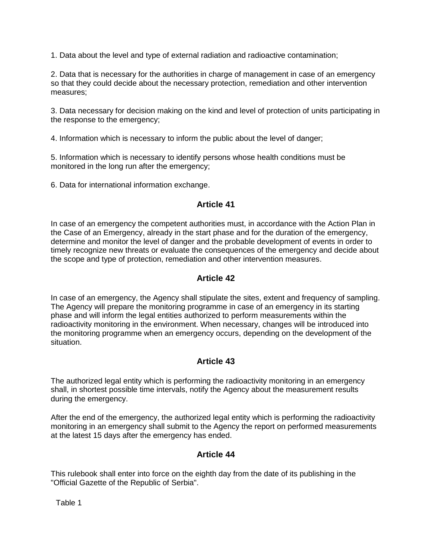1. Data about the level and type of external radiation and radioactive contamination;

2. Data that is necessary for the authorities in charge of management in case of an emergency so that they could decide about the necessary protection, remediation and other intervention measures;

3. Data necessary for decision making on the kind and level of protection of units participating in the response to the emergency;

4. Information which is necessary to inform the public about the level of danger;

5. Information which is necessary to identify persons whose health conditions must be monitored in the long run after the emergency;

6. Data for international information exchange.

#### **Article 41**

In case of an emergency the competent authorities must, in accordance with the Action Plan in the Case of an Emergency, already in the start phase and for the duration of the emergency, determine and monitor the level of danger and the probable development of events in order to timely recognize new threats or evaluate the consequences of the emergency and decide about the scope and type of protection, remediation and other intervention measures.

#### **Article 42**

In case of an emergency, the Agency shall stipulate the sites, extent and frequency of sampling. The Agency will prepare the monitoring programme in case of an emergency in its starting phase and will inform the legal entities authorized to perform measurements within the radioactivity monitoring in the environment. When necessary, changes will be introduced into the monitoring programme when an emergency occurs, depending on the development of the situation.

## **Article 43**

The authorized legal entity which is performing the radioactivity monitoring in an emergency shall, in shortest possible time intervals, notify the Agency about the measurement results during the emergency.

After the end of the emergency, the authorized legal entity which is performing the radioactivity monitoring in an emergency shall submit to the Agency the report on performed measurements at the latest 15 days after the emergency has ended.

#### **Article 44**

This rulebook shall enter into force on the eighth day from the date of its publishing in the "Official Gazette of the Republic of Serbia".

Table 1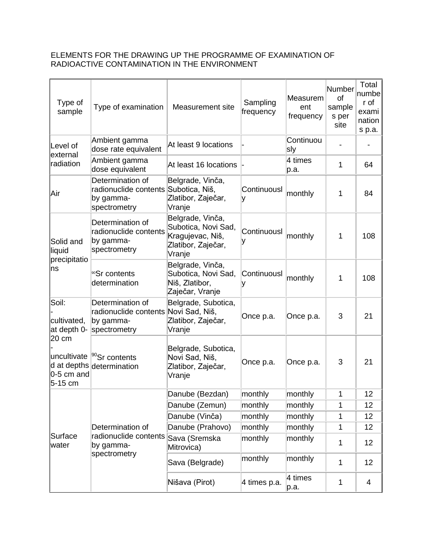#### ELEMENTS FOR THE DRAWING UP THE PROGRAMME OF EXAMINATION OF RADIOACTIVE CONTAMINATION IN THE ENVIRONMENT

| Type of<br>sample                   | Type of examination                                                                   | Measurement site                                                                            | Sampling<br>frequency | Measurem<br>ent<br>frequency | Number<br>of<br>sample<br>s per<br>site | Total<br>numbe<br>r of<br>exami<br>nation<br>s p.a. |
|-------------------------------------|---------------------------------------------------------------------------------------|---------------------------------------------------------------------------------------------|-----------------------|------------------------------|-----------------------------------------|-----------------------------------------------------|
| Level of<br>external                | Ambient gamma<br>dose rate equivalent                                                 | At least 9 locations                                                                        |                       | Continuou<br>sly             |                                         |                                                     |
| radiation                           | Ambient gamma<br>dose equivalent                                                      | At least 16 locations                                                                       |                       | 4 times<br>p.a.              | 1                                       | 64                                                  |
| Air                                 | Determination of<br>radionuclide contents Subotica, Niš,<br>by gamma-<br>spectrometry | Belgrade, Vinča,<br>Zlatibor, Zaječar,<br>Vranje                                            | Continuousl<br>۷      | monthly                      | 1                                       | 84                                                  |
| Solid and<br>liquid                 | Determination of<br>radionuclide contents<br>by gamma-<br>spectrometry                | Belgrade, Vinča,<br>Subotica, Novi Sad,<br>Kragujevac, Niš,<br>Zlatibor, Zaječar,<br>Vranje | Continuousl           | monthly                      | 1                                       | 108                                                 |
| precipitatio<br>ns                  | <sup>90</sup> Sr contents<br>determination                                            | Belgrade, Vinča,<br>Subotica, Novi Sad,<br>Niš, Zlatibor,<br>Zaječar, Vranje                | Continuousl           | monthly                      | 1                                       | 108                                                 |
| Soil:<br>cultivated,<br>at depth 0- | Determination of<br>radionuclide contents Novi Sad, Niš,<br>by gamma-<br>spectrometry | Belgrade, Subotica,<br>Zlatibor, Zaječar,<br>Vranje                                         | Once p.a.             | Once p.a.                    | 3                                       | 21                                                  |
| 20 cm<br>0-5 cm and<br>5-15 cm      | uncultivate <sup> 90</sup> Sr contents<br>d at depths determination                   | Belgrade, Subotica,<br>Novi Sad, Niš,<br>Zlatibor, Zaječar,<br>Vranje                       | Once p.a.             | Once p.a.                    | 3                                       | 21                                                  |
|                                     |                                                                                       | Danube (Bezdan)                                                                             | monthly               | monthly                      | 1                                       | 12                                                  |
|                                     |                                                                                       | Danube (Zemun)                                                                              | monthly               | monthly                      | 1                                       | 12                                                  |
|                                     |                                                                                       | Danube (Vinča)                                                                              | monthly               | monthly                      | 1                                       | 12                                                  |
| Surface<br>water                    | Determination of                                                                      | Danube (Prahovo)                                                                            | monthly               | monthly                      | 1                                       | 12                                                  |
|                                     | radionuclide contents<br>by gamma-                                                    | Sava (Sremska<br>Mitrovica)                                                                 | monthly               | monthly                      | 1                                       | 12                                                  |
|                                     | spectrometry                                                                          | Sava (Belgrade)                                                                             | monthly               | monthly                      | 1                                       | 12                                                  |
|                                     |                                                                                       | Nišava (Pirot)                                                                              | 4 times p.a.          | 4 times<br>p.a.              | 1                                       | 4                                                   |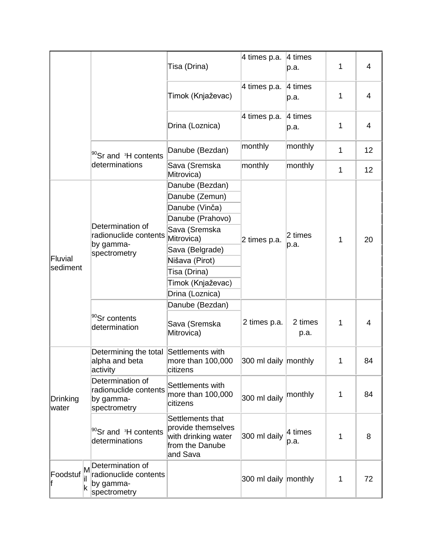|                   |        |                                                                        | Tisa (Drina)                                                                                 | 4 times p.a.         | $ 4 \times$<br>p.a.    | 1            | 4              |
|-------------------|--------|------------------------------------------------------------------------|----------------------------------------------------------------------------------------------|----------------------|------------------------|--------------|----------------|
|                   |        |                                                                        | Timok (Knjaževac)                                                                            | 4 times p.a. 4 times | p.a.                   | 1            | $\overline{4}$ |
|                   |        |                                                                        | Drina (Loznica)                                                                              | 4 times p.a.         | 4 times<br>p.a.        | 1            | $\overline{4}$ |
|                   |        | <sup>90</sup> Sr and <sup>3</sup> H contents                           | Danube (Bezdan)                                                                              | monthly              | monthly                | 1            | 12             |
|                   |        | determinations                                                         | Sava (Sremska<br>Mitrovica)                                                                  | monthly              | monthly                | 1            | 12             |
|                   |        |                                                                        | Danube (Bezdan)                                                                              |                      |                        |              |                |
|                   |        | Determination of                                                       | Danube (Zemun)                                                                               |                      | 2 times                | 1            | 20             |
|                   |        |                                                                        | Danube (Vinča)                                                                               |                      |                        |              |                |
|                   |        |                                                                        | Danube (Prahovo)                                                                             |                      |                        |              |                |
| Fluvial           |        |                                                                        | Sava (Sremska                                                                                |                      |                        |              |                |
|                   |        | radionuclide contents                                                  | Mitrovica)                                                                                   | 2 times p.a.         |                        |              |                |
|                   |        | by gamma-<br>spectrometry                                              | Sava (Belgrade)                                                                              |                      | p.a.                   |              |                |
|                   |        |                                                                        | Nišava (Pirot)                                                                               |                      |                        |              |                |
| sediment          |        |                                                                        | Tisa (Drina)                                                                                 |                      |                        |              |                |
|                   |        |                                                                        | Timok (Knjaževac)                                                                            |                      |                        |              |                |
|                   |        |                                                                        | Drina (Loznica)                                                                              |                      |                        |              |                |
|                   |        |                                                                        | Danube (Bezdan)                                                                              |                      |                        |              |                |
|                   |        | <sup>90</sup> Sr contents<br>determination                             | Sava (Sremska<br>Mitrovica)                                                                  | 2 times p.a.         | 2 times<br>p.a.        | 1            | 4              |
| Drinking<br>water |        | Determining the total<br>alpha and beta<br>activity                    | Settlements with<br>more than 100,000<br>citizens                                            | 300 ml daily monthly |                        | 1            | 84             |
|                   |        | Determination of<br>radionuclide contents<br>by gamma-<br>spectrometry | Settlements with<br>more than 100,000<br>citizens                                            | 300 ml daily         | monthly                | $\mathbf{1}$ | 84             |
|                   |        | <sup>90</sup> Sr and <sup>3</sup> H contents<br>determinations         | Settlements that<br>provide themselves<br>with drinking water<br>from the Danube<br>and Sava | 300 ml daily         | $ 4 \t{times}$<br>p.a. | 1            | 8              |
| Foodstuf          | M<br>k | Determination of<br>radionuclide contents<br>by gamma-<br>spectrometry |                                                                                              | 300 ml daily monthly |                        | $\mathbf 1$  | 72             |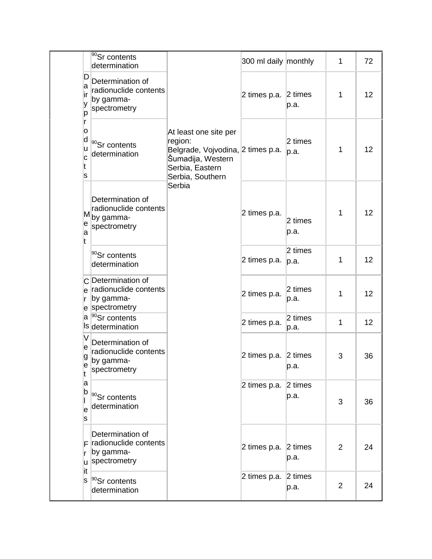|                            | <sup>90</sup> Sr contents<br>determination                                          |                                                                                                                                             | 300 ml daily monthly         |                           | 1              | 72 |
|----------------------------|-------------------------------------------------------------------------------------|---------------------------------------------------------------------------------------------------------------------------------------------|------------------------------|---------------------------|----------------|----|
| ID<br>a<br>∣ir<br>у<br>р   | Determination of<br>radionuclide contents<br>by gamma-<br>spectrometry              |                                                                                                                                             | 2 times p.a.                 | $ 2 \times$<br>p.a.       | 1              | 12 |
| r<br>0<br>d<br>u<br>c<br>s | <sup>90</sup> Sr contents<br>determination                                          | At least one site per<br>region:<br>Belgrade, Vojvodina, 2 times p.a.<br>Šumadija, Western<br>Serbia, Eastern<br>Serbia, Southern<br>Serbia |                              | 2 times<br> p.a.          | 1              | 12 |
| e<br>a<br>lt               | Determination of<br>radionuclide contents<br>M <sub>by gamma-</sub><br>spectrometry |                                                                                                                                             | 2 times p.a.                 | $2 \text{ times}$<br>p.a. | 1              | 12 |
|                            | $ ^{90}$ Sr contents<br>determination                                               |                                                                                                                                             | 2 times p.a.                 | 2 times<br> p.a.          | 1              | 12 |
| Ir                         | C Determination of<br>e radionuclide contents<br>by gamma-<br>e spectrometry        |                                                                                                                                             | 2 times p.a.                 | $2 \text{ times}$<br>p.a. | 1              | 12 |
|                            | a <sup>90</sup> Sr contents<br>Is determination                                     |                                                                                                                                             | 2 times p.a.                 | 2 times<br>p.a.           | 1              | 12 |
| е<br>g<br>e<br>lt          | Determination of<br>radionuclide contents<br>by gamma-<br>spectrometry              |                                                                                                                                             | 2 times p.a. 2 times         | p.a.                      | 3              | 36 |
| a<br>$\sf{b}$<br>e<br>s    | <sup>90</sup> Sr contents<br>determination                                          |                                                                                                                                             | 2 times p.a. $ 2$ times      | p.a.                      | 3              | 36 |
| Ir                         | Determination of<br>$F$ radionuclide contents<br>by gamma-<br>u spectrometry        |                                                                                                                                             | 2 times p.a. $\vert$ 2 times | p.a.                      | $\overline{2}$ | 24 |
| it<br>ls                   | $ ^{90}$ Sr contents<br>determination                                               |                                                                                                                                             | 2 times p.a.                 | $ 2 \times$<br>p.a.       | $\overline{2}$ | 24 |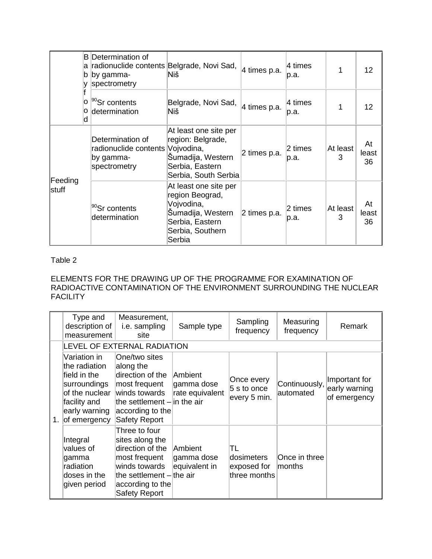|                         | <b>B</b> Determination of<br>radionuclide contents Belgrade, Novi Sad,<br>а<br>by gamma-<br>b<br>spectrometry | Niš                                                                                                                          | 4 times p.a. | 4 times<br>p.a.   |               | 12                |
|-------------------------|---------------------------------------------------------------------------------------------------------------|------------------------------------------------------------------------------------------------------------------------------|--------------|-------------------|---------------|-------------------|
|                         | <sup>90</sup> Sr contents<br>о<br>determination<br>о<br>d                                                     | Belgrade, Novi Sad,<br>Niš                                                                                                   | 4 times p.a. | $4$ times<br>p.a. |               | 12                |
|                         | Determination of<br>radionuclide contents<br>by gamma-<br>spectrometry                                        | At least one site per<br>region: Belgrade,<br>Vojvodina,<br>Šumadija, Western<br>Serbia, Eastern<br>Serbia, South Serbia     | 2 times p.a. | 2 times<br>p.a.   | At least<br>3 | At<br>least<br>36 |
| Feeding<br><b>stuff</b> | <sup>90</sup> Sr contents<br>determination                                                                    | At least one site per<br>region Beograd,<br>Vojvodina,<br>Šumadija, Western<br>Serbia, Eastern<br>Serbia, Southern<br>Serbia | 2 times p.a. | 2 times<br>p.a.   | At least<br>3 | At<br>least<br>36 |

#### Table 2

#### ELEMENTS FOR THE DRAWING UP OF THE PROGRAMME FOR EXAMINATION OF RADIOACTIVE CONTAMINATION OF THE ENVIRONMENT SURROUNDING THE NUCLEAR **FACILITY**

| Type and<br>description of<br>measurement                                                                                           | Measurement,<br>i.e. sampling<br>site                                                                                                                            | Sample type                                     | Sampling<br>frequency                            | Measuring<br>frequency     | Remark                                         |
|-------------------------------------------------------------------------------------------------------------------------------------|------------------------------------------------------------------------------------------------------------------------------------------------------------------|-------------------------------------------------|--------------------------------------------------|----------------------------|------------------------------------------------|
|                                                                                                                                     | LEVEL OF EXTERNAL RADIATION                                                                                                                                      |                                                 |                                                  |                            |                                                |
| Variation in<br>the radiation<br>field in the<br>surroundings<br>of the nuclear<br>facility and<br>early warning<br>1. of emergency | One/two sites<br>along the<br>direction of the<br>most frequent<br>winds towards<br>the settlement $-$ lin the air<br>according to the<br><b>Safety Report</b>   | <b>Ambient</b><br>gamma dose<br>rate equivalent | Once every<br>5 s to once<br>every 5 min.        | Continuously,<br>automated | Important for<br>early warning<br>of emergency |
| Integral<br>values of<br>gamma<br>radiation<br>doses in the<br>given period                                                         | Three to four<br>sites along the<br>direction of the<br>most frequent<br>winds towards<br>the settlement $-$ the air<br>according to the<br><b>Safety Report</b> | Ambient<br>gamma dose<br>equivalent in          | TL<br>ldosimeters<br>exposed for<br>three months | Once in three<br>months    |                                                |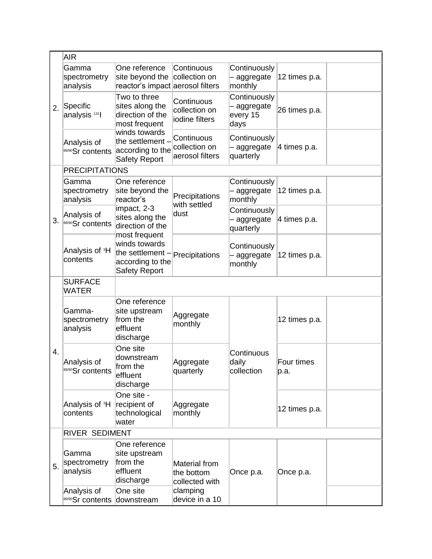|    | <b>AIR</b>                             |                                                                                                                                                       |                                                |                                               |                    |  |  |
|----|----------------------------------------|-------------------------------------------------------------------------------------------------------------------------------------------------------|------------------------------------------------|-----------------------------------------------|--------------------|--|--|
| 2. | Gamma<br>spectrometry<br>analysis      | One reference<br>site beyond the<br>reactor's impact aerosol filters                                                                                  | Continuous<br>collection on                    | Continuously<br>aggregate<br>monthly          | 12 times p.a.      |  |  |
|    | Specific<br>analysis <sup>131</sup>    | Two to three<br>sites along the<br>direction of the<br>most frequent<br>winds towards<br>the settlement -<br>according to the<br><b>Safety Report</b> | Continuous<br>collection on<br>iodine filters  | Continuously<br>aggregate<br>every 15<br>days | 26 times p.a.      |  |  |
|    | Analysis of<br>89/90Sr contents        |                                                                                                                                                       | Continuous<br>collection on<br>aerosol filters | Continuously<br>aggregate<br>quarterly        | 4 times p.a.       |  |  |
|    | <b>PRECIPITATIONS</b>                  |                                                                                                                                                       |                                                |                                               |                    |  |  |
| 3. | Gamma<br>spectrometry<br>analysis      | One reference<br>site beyond the<br>reactor's                                                                                                         | Precipitations<br>with settled<br>dust         | Continuously<br>aggregate<br>monthly          | 12 times p.a.      |  |  |
|    | Analysis of<br>89/90Sr contents        | impact, 2-3<br>sites along the<br>direction of the                                                                                                    |                                                | Continuously<br>aggregate<br>quarterly        | 4 times p.a.       |  |  |
|    | Analysis of <sup>3</sup> H<br>contents | most frequent<br>winds towards<br>the settlement<br>according to the<br><b>Safety Report</b>                                                          | Precipitations                                 | Continuously<br>aggregate<br>monthly          | 12 times p.a.      |  |  |
|    | <b>SURFACE</b><br><b>WATER</b>         |                                                                                                                                                       |                                                |                                               |                    |  |  |
|    | Gamma-<br>spectrometry<br>analysis     | One reference<br>site upstream<br>from the<br>effluent<br>discharge                                                                                   | Aggregate<br>monthly                           |                                               | 12 times p.a.      |  |  |
| 4. | Analysis of<br>89/90Sr contents        | One site<br>downstream<br>from the<br>effluent<br>discharge                                                                                           | Aggregate<br>quarterly                         | Continuous<br>daily<br>collection             | Four times<br>p.a. |  |  |
|    | Analysis of <sup>3</sup> H<br>contents | One site -<br>recipient of<br>technological<br>water                                                                                                  | Aggregate<br>monthly                           |                                               | 12 times p.a.      |  |  |
|    | RIVER SEDIMENT                         |                                                                                                                                                       |                                                |                                               |                    |  |  |
| 5. | Gamma<br>spectrometry<br>analysis      | One reference<br>site upstream<br>from the<br>effluent<br>discharge                                                                                   | Material from<br>the bottom<br>collected with  | Once p.a.                                     | Once p.a.          |  |  |
|    | Analysis of<br>89/90Sr contents        | One site<br>downstream                                                                                                                                | clamping<br>device in a 10                     |                                               |                    |  |  |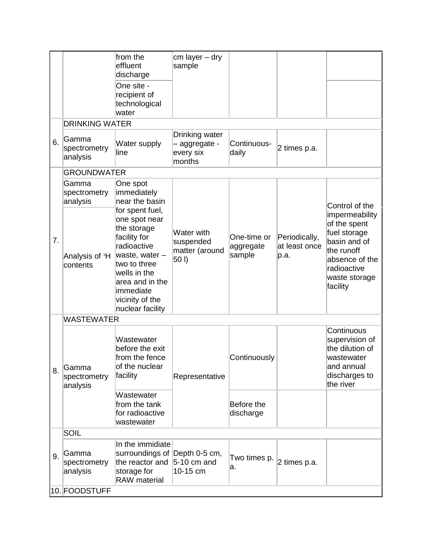|    |                                        | from the<br>effluent<br>discharge                                                                                                                                                                       | cm layer - dry<br>sample                             |                                    |                                        |                                                                                                                                            |
|----|----------------------------------------|---------------------------------------------------------------------------------------------------------------------------------------------------------------------------------------------------------|------------------------------------------------------|------------------------------------|----------------------------------------|--------------------------------------------------------------------------------------------------------------------------------------------|
|    |                                        | One site -<br>recipient of<br>technological<br>water                                                                                                                                                    |                                                      |                                    |                                        |                                                                                                                                            |
|    | <b>DRINKING WATER</b>                  |                                                                                                                                                                                                         |                                                      |                                    |                                        |                                                                                                                                            |
| 6. | lGamma<br>spectrometry<br>analysis     | Water supply<br>line                                                                                                                                                                                    | Drinking water<br>aggregate -<br>every six<br>months | Continuous-<br>daily               | 2 times p.a.                           |                                                                                                                                            |
|    | <b>GROUNDWATER</b>                     |                                                                                                                                                                                                         |                                                      |                                    |                                        |                                                                                                                                            |
|    | Gamma<br>spectrometry<br>analysis      | One spot<br>immediately<br>near the basin                                                                                                                                                               |                                                      |                                    |                                        | Control of the                                                                                                                             |
| 7. | Analysis of <sup>3</sup> H<br>contents | for spent fuel,<br>one spot near<br>the storage<br>facility for<br>radioactive<br>waste, water -<br>two to three<br>wells in the<br>area and in the<br>immediate<br>vicinity of the<br>nuclear facility | Water with<br>suspended<br>matter (around<br>50 I)   | One-time or<br>aggregate<br>sample | Periodically,<br>at least once<br>p.a. | impermeability<br>of the spent<br>fuel storage<br>basin and of<br>the runoff<br>absence of the<br>radioactive<br>waste storage<br>facility |
|    | <b>WASTEWATER</b>                      |                                                                                                                                                                                                         |                                                      |                                    |                                        |                                                                                                                                            |
| 8. | Gamma<br>spectrometry<br>analysis      | Wastewater<br>before the exit<br>from the fence<br>of the nuclear<br>facility                                                                                                                           | Representative                                       | Continuously                       |                                        | Continuous<br>supervision of<br>the dilution of<br>wastewater<br>and annual<br>discharges to<br>the river                                  |
|    |                                        | Wastewater<br>from the tank<br>for radioactive<br>wastewater                                                                                                                                            |                                                      | Before the<br>discharge            |                                        |                                                                                                                                            |
|    | SOIL                                   |                                                                                                                                                                                                         |                                                      |                                    |                                        |                                                                                                                                            |
| 9. | Gamma<br>spectrometry<br>analysis      | In the immidiate<br>surroundings of Depth 0-5 cm,<br>the reactor and<br>storage for<br><b>RAW</b> material                                                                                              | $5-10$ cm and<br>10-15 cm                            | Two times p.<br>а.                 | 2 times p.a.                           |                                                                                                                                            |
|    | 10. FOODSTUFF                          |                                                                                                                                                                                                         |                                                      |                                    |                                        |                                                                                                                                            |